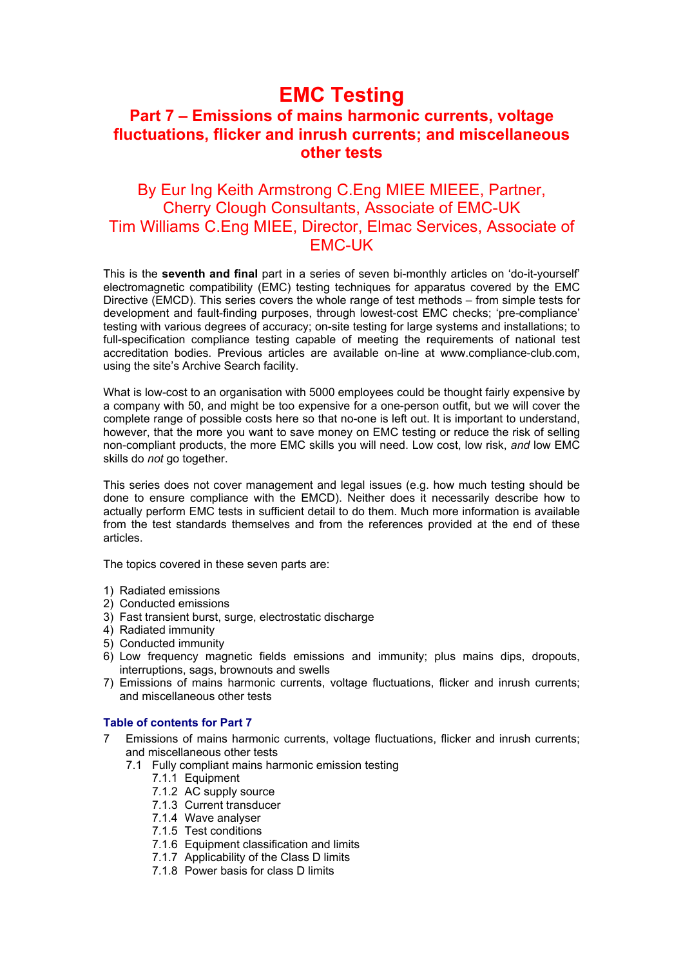# **EMC Testing**

# **Part 7 – Emissions of mains harmonic currents, voltage fluctuations, flicker and inrush currents; and miscellaneous other tests**

# By Eur Ing Keith Armstrong C.Eng MIEE MIEEE, Partner, Cherry Clough Consultants, Associate of EMC-UK Tim Williams C.Eng MIEE, Director, Elmac Services, Associate of EMC-UK

This is the **seventh and final** part in a series of seven bi-monthly articles on 'do-it-yourself' electromagnetic compatibility (EMC) testing techniques for apparatus covered by the EMC Directive (EMCD). This series covers the whole range of test methods – from simple tests for development and fault-finding purposes, through lowest-cost EMC checks; 'pre-compliance' testing with various degrees of accuracy; on-site testing for large systems and installations; to full-specification compliance testing capable of meeting the requirements of national test accreditation bodies. Previous articles are available on-line at www.compliance-club.com, using the site's Archive Search facility.

What is low-cost to an organisation with 5000 employees could be thought fairly expensive by a company with 50, and might be too expensive for a one-person outfit, but we will cover the complete range of possible costs here so that no-one is left out. It is important to understand, however, that the more you want to save money on EMC testing or reduce the risk of selling non-compliant products, the more EMC skills you will need. Low cost, low risk, *and* low EMC skills do *not* go together.

This series does not cover management and legal issues (e.g. how much testing should be done to ensure compliance with the EMCD). Neither does it necessarily describe how to actually perform EMC tests in sufficient detail to do them. Much more information is available from the test standards themselves and from the references provided at the end of these articles.

The topics covered in these seven parts are:

- 1) Radiated emissions
- 2) Conducted emissions
- 3) Fast transient burst, surge, electrostatic discharge
- 4) Radiated immunity
- 5) Conducted immunity
- 6) Low frequency magnetic fields emissions and immunity; plus mains dips, dropouts, interruptions, sags, brownouts and swells
- 7) Emissions of mains harmonic currents, voltage fluctuations, flicker and inrush currents; and miscellaneous other tests

# **Table of contents for Part 7**

- 7 Emissions of mains harmonic currents, voltage fluctuations, flicker and inrush currents; and miscellaneous other tests
	- 7.1 Fully compliant mains harmonic emission testing
		- 7.1.1 Equipment
		- 7.1.2 AC supply source
		- 7.1.3 Current transducer
		- 7.1.4 Wave analyser
		- 7.1.5 Test conditions
		- 7.1.6 Equipment classification and limits
		- 7.1.7 Applicability of the Class D limits
		- 7.1.8 Power basis for class D limits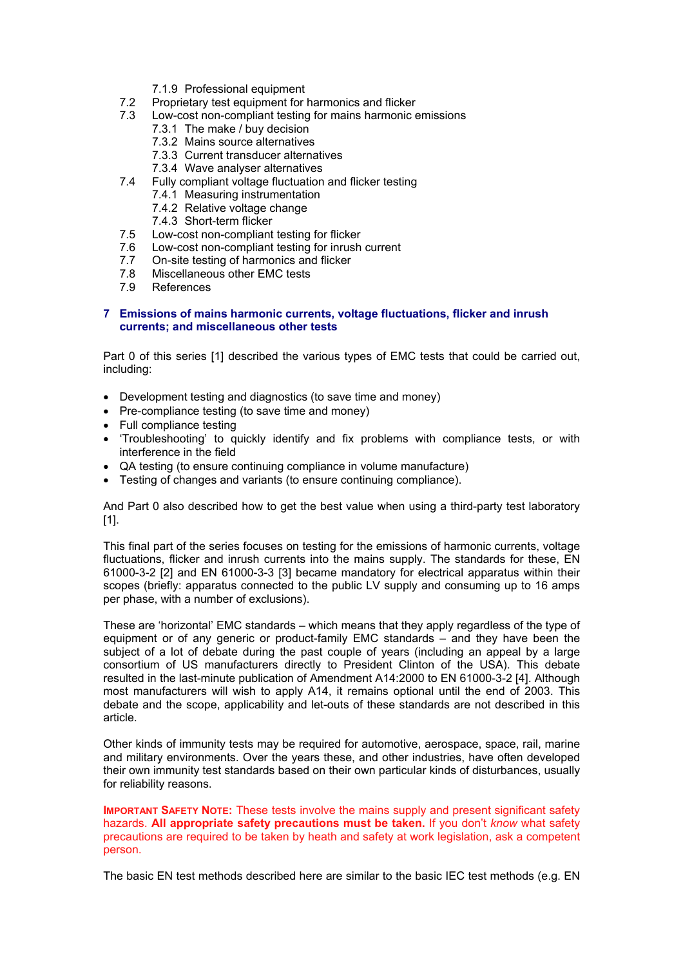- 7.1.9 Professional equipment
- 7.2 Proprietary test equipment for harmonics and flicker
- 7.3 Low-cost non-compliant testing for mains harmonic emissions
	- 7.3.1 The make / buy decision
	- 7.3.2 Mains source alternatives
	- 7.3.3 Current transducer alternatives
	- 7.3.4 Wave analyser alternatives
- 7.4 Fully compliant voltage fluctuation and flicker testing
	- 7.4.1 Measuring instrumentation
	- 7.4.2 Relative voltage change
	-
- 7.4.3 Short-term flicker<br>7.5 Low-cost non-compliant Low-cost non-compliant testing for flicker
- 7.6 Low-cost non-compliant testing for inrush current
- 7.7 On-site testing of harmonics and flicker
- 7.8 Miscellaneous other EMC tests
- 7.9 References

# **7 Emissions of mains harmonic currents, voltage fluctuations, flicker and inrush currents; and miscellaneous other tests**

Part 0 of this series [1] described the various types of EMC tests that could be carried out, including:

- Development testing and diagnostics (to save time and money)
- Pre-compliance testing (to save time and money)
- Full compliance testing
- 'Troubleshooting' to quickly identify and fix problems with compliance tests, or with interference in the field
- QA testing (to ensure continuing compliance in volume manufacture)
- Testing of changes and variants (to ensure continuing compliance).

And Part 0 also described how to get the best value when using a third-party test laboratory [1].

This final part of the series focuses on testing for the emissions of harmonic currents, voltage fluctuations, flicker and inrush currents into the mains supply. The standards for these, EN 61000-3-2 [2] and EN 61000-3-3 [3] became mandatory for electrical apparatus within their scopes (briefly: apparatus connected to the public LV supply and consuming up to 16 amps per phase, with a number of exclusions).

These are 'horizontal' EMC standards – which means that they apply regardless of the type of equipment or of any generic or product-family EMC standards – and they have been the subject of a lot of debate during the past couple of years (including an appeal by a large consortium of US manufacturers directly to President Clinton of the USA). This debate resulted in the last-minute publication of Amendment A14:2000 to EN 61000-3-2 [4]. Although most manufacturers will wish to apply A14, it remains optional until the end of 2003. This debate and the scope, applicability and let-outs of these standards are not described in this article.

Other kinds of immunity tests may be required for automotive, aerospace, space, rail, marine and military environments. Over the years these, and other industries, have often developed their own immunity test standards based on their own particular kinds of disturbances, usually for reliability reasons.

**IMPORTANT SAFETY NOTE:** These tests involve the mains supply and present significant safety hazards. **All appropriate safety precautions must be taken.** If you don't *know* what safety precautions are required to be taken by heath and safety at work legislation, ask a competent person.

The basic EN test methods described here are similar to the basic IEC test methods (e.g. EN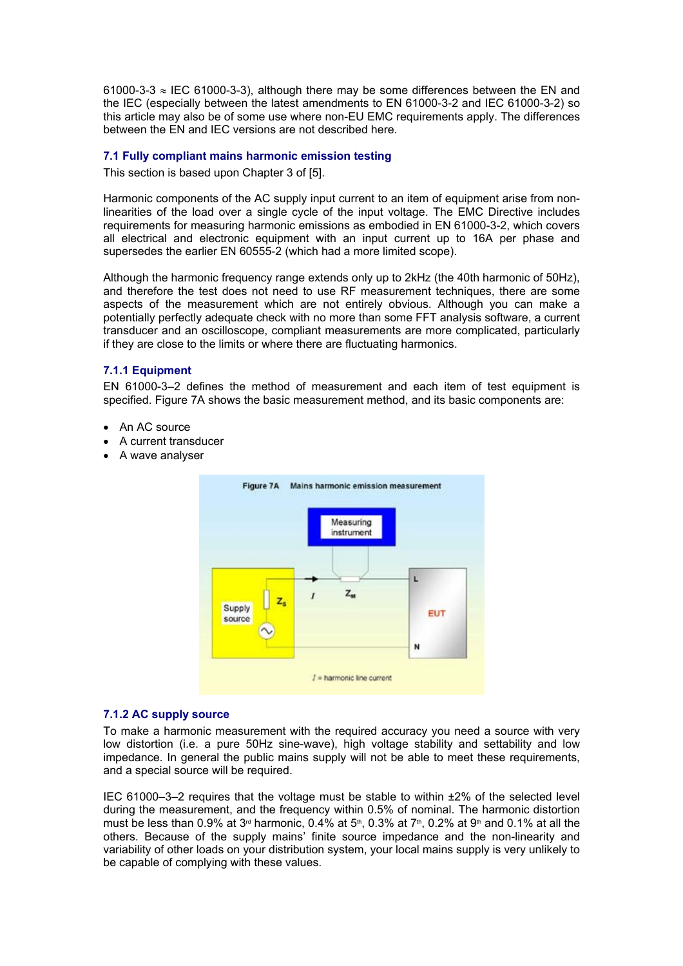61000-3-3  $\approx$  IEC 61000-3-3), although there may be some differences between the EN and the IEC (especially between the latest amendments to EN 61000-3-2 and IEC 61000-3-2) so this article may also be of some use where non-EU EMC requirements apply. The differences between the EN and IEC versions are not described here.

# **7.1 Fully compliant mains harmonic emission testing**

This section is based upon Chapter 3 of [5].

Harmonic components of the AC supply input current to an item of equipment arise from nonlinearities of the load over a single cycle of the input voltage. The EMC Directive includes requirements for measuring harmonic emissions as embodied in EN 61000-3-2, which covers all electrical and electronic equipment with an input current up to 16A per phase and supersedes the earlier EN 60555-2 (which had a more limited scope).

Although the harmonic frequency range extends only up to 2kHz (the 40th harmonic of 50Hz), and therefore the test does not need to use RF measurement techniques, there are some aspects of the measurement which are not entirely obvious. Although you can make a potentially perfectly adequate check with no more than some FFT analysis software, a current transducer and an oscilloscope, compliant measurements are more complicated, particularly if they are close to the limits or where there are fluctuating harmonics.

# **7.1.1 Equipment**

EN 61000-3–2 defines the method of measurement and each item of test equipment is specified. Figure 7A shows the basic measurement method, and its basic components are:

- An AC source
- A current transducer
- A wave analyser



#### **7.1.2 AC supply source**

To make a harmonic measurement with the required accuracy you need a source with very low distortion (i.e. a pure 50Hz sine-wave), high voltage stability and settability and low impedance. In general the public mains supply will not be able to meet these requirements, and a special source will be required.

IEC 61000–3–2 requires that the voltage must be stable to within ±2% of the selected level during the measurement, and the frequency within 0.5% of nominal. The harmonic distortion must be less than 0.9% at 3<sup>rd</sup> harmonic, 0.4% at 5<sup>th</sup>, 0.3% at 7<sup>th</sup>, 0.2% at 9<sup>th</sup> and 0.1% at all the others. Because of the supply mains' finite source impedance and the non-linearity and variability of other loads on your distribution system, your local mains supply is very unlikely to be capable of complying with these values.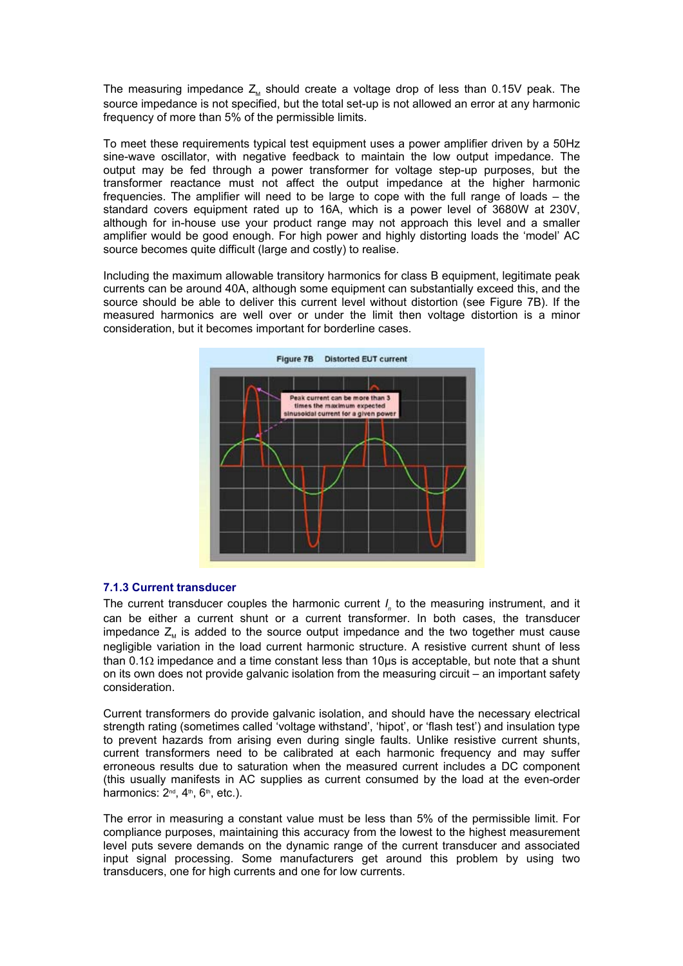The measuring impedance  $Z<sub>u</sub>$  should create a voltage drop of less than 0.15V peak. The source impedance is not specified, but the total set-up is not allowed an error at any harmonic frequency of more than 5% of the permissible limits.

To meet these requirements typical test equipment uses a power amplifier driven by a 50Hz sine-wave oscillator, with negative feedback to maintain the low output impedance. The output may be fed through a power transformer for voltage step-up purposes, but the transformer reactance must not affect the output impedance at the higher harmonic frequencies. The amplifier will need to be large to cope with the full range of loads – the standard covers equipment rated up to 16A, which is a power level of 3680W at 230V, although for in-house use your product range may not approach this level and a smaller amplifier would be good enough. For high power and highly distorting loads the 'model' AC source becomes quite difficult (large and costly) to realise.

Including the maximum allowable transitory harmonics for class B equipment, legitimate peak currents can be around 40A, although some equipment can substantially exceed this, and the source should be able to deliver this current level without distortion (see Figure 7B). If the measured harmonics are well over or under the limit then voltage distortion is a minor consideration, but it becomes important for borderline cases.



# **7.1.3 Current transducer**

The current transducer couples the harmonic current *I<sub>n</sub>* to the measuring instrument, and it can be either a current shunt or a current transformer. In both cases, the transducer impedance  $Z<sub>M</sub>$  is added to the source output impedance and the two together must cause negligible variation in the load current harmonic structure. A resistive current shunt of less than 0.1Ω impedance and a time constant less than 10µs is acceptable, but note that a shunt on its own does not provide galvanic isolation from the measuring circuit – an important safety consideration.

Current transformers do provide galvanic isolation, and should have the necessary electrical strength rating (sometimes called 'voltage withstand', 'hipot', or 'flash test') and insulation type to prevent hazards from arising even during single faults. Unlike resistive current shunts, current transformers need to be calibrated at each harmonic frequency and may suffer erroneous results due to saturation when the measured current includes a DC component (this usually manifests in AC supplies as current consumed by the load at the even-order harmonics: 2<sup>nd</sup>, 4<sup>th</sup>, 6<sup>th</sup>, etc.).

The error in measuring a constant value must be less than 5% of the permissible limit. For compliance purposes, maintaining this accuracy from the lowest to the highest measurement level puts severe demands on the dynamic range of the current transducer and associated input signal processing. Some manufacturers get around this problem by using two transducers, one for high currents and one for low currents.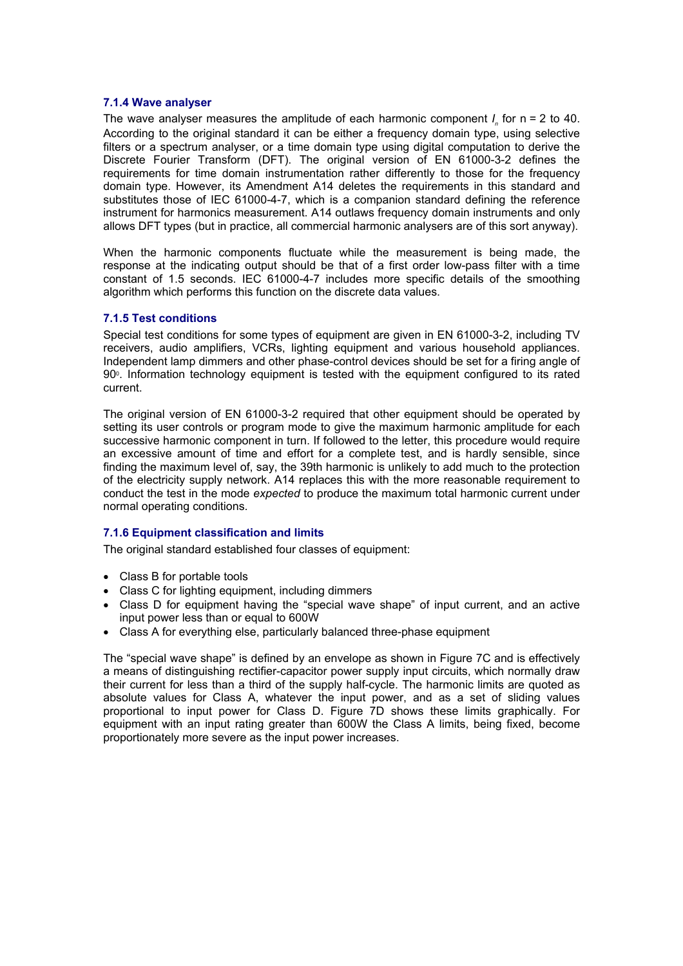# **7.1.4 Wave analyser**

The wave analyser measures the amplitude of each harmonic component *I<sub>n</sub>* for n = 2 to 40. According to the original standard it can be either a frequency domain type, using selective filters or a spectrum analyser, or a time domain type using digital computation to derive the Discrete Fourier Transform (DFT). The original version of EN 61000-3-2 defines the requirements for time domain instrumentation rather differently to those for the frequency domain type. However, its Amendment A14 deletes the requirements in this standard and substitutes those of IEC 61000-4-7, which is a companion standard defining the reference instrument for harmonics measurement. A14 outlaws frequency domain instruments and only allows DFT types (but in practice, all commercial harmonic analysers are of this sort anyway).

When the harmonic components fluctuate while the measurement is being made, the response at the indicating output should be that of a first order low-pass filter with a time constant of 1.5 seconds. IEC 61000-4-7 includes more specific details of the smoothing algorithm which performs this function on the discrete data values.

# **7.1.5 Test conditions**

Special test conditions for some types of equipment are given in EN 61000-3-2, including TV receivers, audio amplifiers, VCRs, lighting equipment and various household appliances. Independent lamp dimmers and other phase-control devices should be set for a firing angle of 900. Information technology equipment is tested with the equipment configured to its rated current.

The original version of EN 61000-3-2 required that other equipment should be operated by setting its user controls or program mode to give the maximum harmonic amplitude for each successive harmonic component in turn. If followed to the letter, this procedure would require an excessive amount of time and effort for a complete test, and is hardly sensible, since finding the maximum level of, say, the 39th harmonic is unlikely to add much to the protection of the electricity supply network. A14 replaces this with the more reasonable requirement to conduct the test in the mode *expected* to produce the maximum total harmonic current under normal operating conditions.

# **7.1.6 Equipment classification and limits**

The original standard established four classes of equipment:

- Class B for portable tools
- Class C for lighting equipment, including dimmers
- Class D for equipment having the "special wave shape" of input current, and an active input power less than or equal to 600W
- Class A for everything else, particularly balanced three-phase equipment

The "special wave shape" is defined by an envelope as shown in Figure 7C and is effectively a means of distinguishing rectifier-capacitor power supply input circuits, which normally draw their current for less than a third of the supply half-cycle. The harmonic limits are quoted as absolute values for Class A, whatever the input power, and as a set of sliding values proportional to input power for Class D. Figure 7D shows these limits graphically. For equipment with an input rating greater than 600W the Class A limits, being fixed, become proportionately more severe as the input power increases.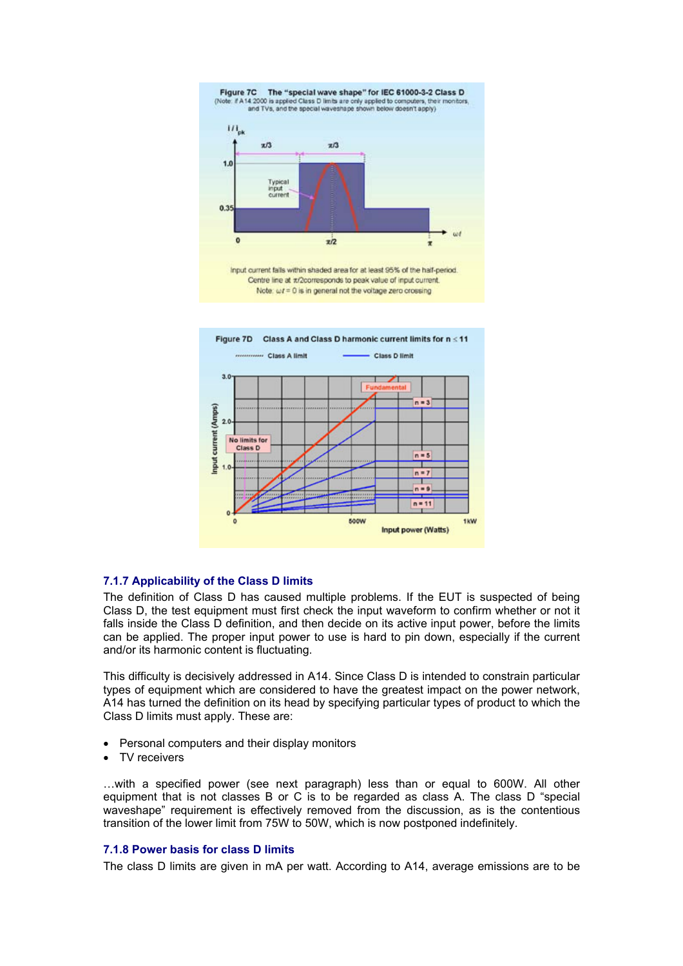



# **7.1.7 Applicability of the Class D limits**

The definition of Class D has caused multiple problems. If the EUT is suspected of being Class D, the test equipment must first check the input waveform to confirm whether or not it falls inside the Class D definition, and then decide on its active input power, before the limits can be applied. The proper input power to use is hard to pin down, especially if the current and/or its harmonic content is fluctuating.

This difficulty is decisively addressed in A14. Since Class D is intended to constrain particular types of equipment which are considered to have the greatest impact on the power network, A14 has turned the definition on its head by specifying particular types of product to which the Class D limits must apply. These are:

- Personal computers and their display monitors
- TV receivers

…with a specified power (see next paragraph) less than or equal to 600W. All other equipment that is not classes B or C is to be regarded as class A. The class D "special waveshape" requirement is effectively removed from the discussion, as is the contentious transition of the lower limit from 75W to 50W, which is now postponed indefinitely.

# **7.1.8 Power basis for class D limits**

The class D limits are given in mA per watt. According to A14, average emissions are to be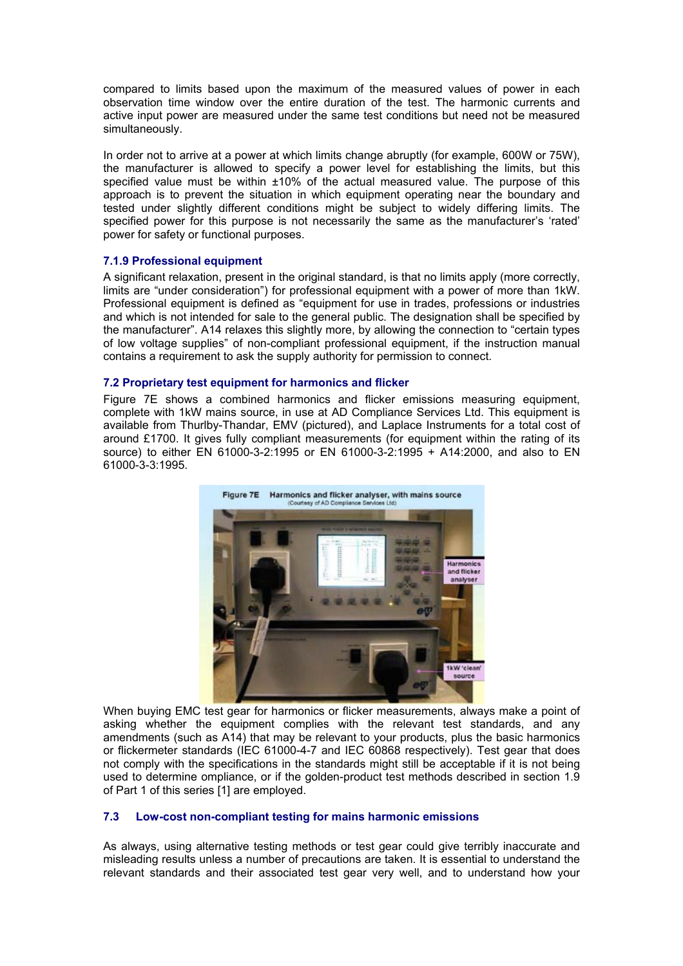compared to limits based upon the maximum of the measured values of power in each observation time window over the entire duration of the test. The harmonic currents and active input power are measured under the same test conditions but need not be measured simultaneously.

In order not to arrive at a power at which limits change abruptly (for example, 600W or 75W), the manufacturer is allowed to specify a power level for establishing the limits, but this specified value must be within ±10% of the actual measured value. The purpose of this approach is to prevent the situation in which equipment operating near the boundary and tested under slightly different conditions might be subject to widely differing limits. The specified power for this purpose is not necessarily the same as the manufacturer's 'rated' power for safety or functional purposes.

# **7.1.9 Professional equipment**

A significant relaxation, present in the original standard, is that no limits apply (more correctly, limits are "under consideration") for professional equipment with a power of more than 1kW. Professional equipment is defined as "equipment for use in trades, professions or industries and which is not intended for sale to the general public. The designation shall be specified by the manufacturer". A14 relaxes this slightly more, by allowing the connection to "certain types of low voltage supplies" of non-compliant professional equipment, if the instruction manual contains a requirement to ask the supply authority for permission to connect.

# **7.2 Proprietary test equipment for harmonics and flicker**

Figure 7E shows a combined harmonics and flicker emissions measuring equipment, complete with 1kW mains source, in use at AD Compliance Services Ltd. This equipment is available from Thurlby-Thandar, EMV (pictured), and Laplace Instruments for a total cost of around  $£1700$ . It gives fully compliant measurements (for equipment within the rating of its source) to either EN 61000-3-2:1995 or EN 61000-3-2:1995 + A14:2000, and also to EN 61000-3-3:1995.



When buying EMC test gear for harmonics or flicker measurements, always make a point of asking whether the equipment complies with the relevant test standards, and any amendments (such as A14) that may be relevant to your products, plus the basic harmonics or flickermeter standards (IEC 61000-4-7 and IEC 60868 respectively). Test gear that does not comply with the specifications in the standards might still be acceptable if it is not being used to determine ompliance, or if the golden-product test methods described in section 1.9 of Part 1 of this series [1] are employed.

# **7.3 Low-cost non-compliant testing for mains harmonic emissions**

As always, using alternative testing methods or test gear could give terribly inaccurate and misleading results unless a number of precautions are taken. It is essential to understand the relevant standards and their associated test gear very well, and to understand how your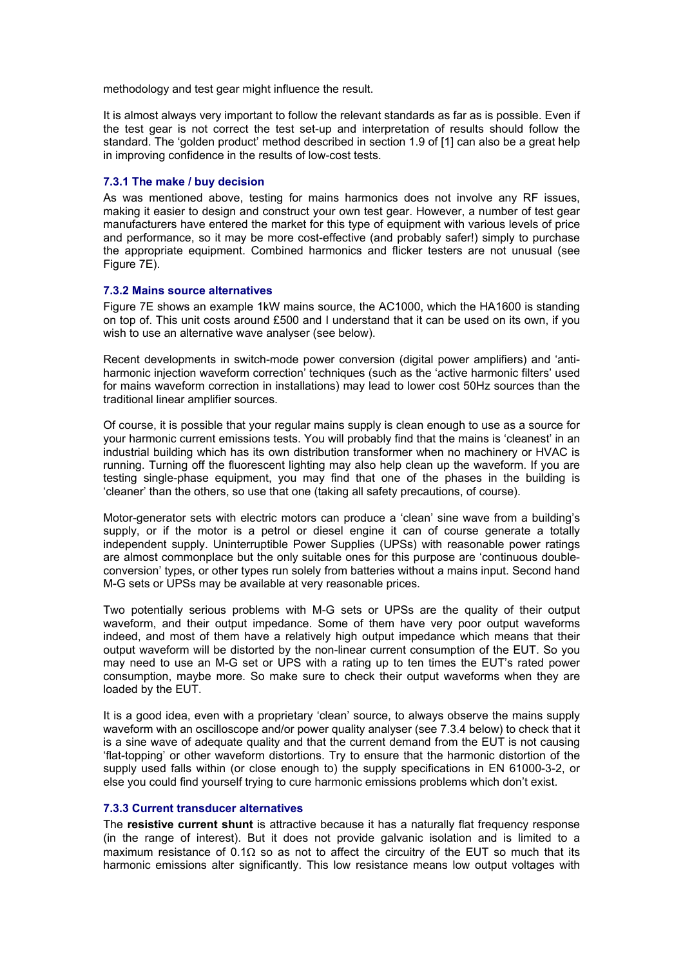methodology and test gear might influence the result.

It is almost always very important to follow the relevant standards as far as is possible. Even if the test gear is not correct the test set-up and interpretation of results should follow the standard. The 'golden product' method described in section 1.9 of [1] can also be a great help in improving confidence in the results of low-cost tests.

# **7.3.1 The make / buy decision**

As was mentioned above, testing for mains harmonics does not involve any RF issues, making it easier to design and construct your own test gear. However, a number of test gear manufacturers have entered the market for this type of equipment with various levels of price and performance, so it may be more cost-effective (and probably safer!) simply to purchase the appropriate equipment. Combined harmonics and flicker testers are not unusual (see Figure 7E).

# **7.3.2 Mains source alternatives**

Figure 7E shows an example 1kW mains source, the AC1000, which the HA1600 is standing on top of. This unit costs around £500 and I understand that it can be used on its own, if you wish to use an alternative wave analyser (see below).

Recent developments in switch-mode power conversion (digital power amplifiers) and 'antiharmonic injection waveform correction' techniques (such as the 'active harmonic filters' used for mains waveform correction in installations) may lead to lower cost 50Hz sources than the traditional linear amplifier sources.

Of course, it is possible that your regular mains supply is clean enough to use as a source for your harmonic current emissions tests. You will probably find that the mains is 'cleanest' in an industrial building which has its own distribution transformer when no machinery or HVAC is running. Turning off the fluorescent lighting may also help clean up the waveform. If you are testing single-phase equipment, you may find that one of the phases in the building is 'cleaner' than the others, so use that one (taking all safety precautions, of course).

Motor-generator sets with electric motors can produce a 'clean' sine wave from a building's supply, or if the motor is a petrol or diesel engine it can of course generate a totally independent supply. Uninterruptible Power Supplies (UPSs) with reasonable power ratings are almost commonplace but the only suitable ones for this purpose are 'continuous doubleconversion' types, or other types run solely from batteries without a mains input. Second hand M-G sets or UPSs may be available at very reasonable prices.

Two potentially serious problems with M-G sets or UPSs are the quality of their output waveform, and their output impedance. Some of them have very poor output waveforms indeed, and most of them have a relatively high output impedance which means that their output waveform will be distorted by the non-linear current consumption of the EUT. So you may need to use an M-G set or UPS with a rating up to ten times the EUT's rated power consumption, maybe more. So make sure to check their output waveforms when they are loaded by the EUT.

It is a good idea, even with a proprietary 'clean' source, to always observe the mains supply waveform with an oscilloscope and/or power quality analyser (see 7.3.4 below) to check that it is a sine wave of adequate quality and that the current demand from the EUT is not causing 'flat-topping' or other waveform distortions. Try to ensure that the harmonic distortion of the supply used falls within (or close enough to) the supply specifications in EN 61000-3-2, or else you could find yourself trying to cure harmonic emissions problems which don't exist.

# **7.3.3 Current transducer alternatives**

The **resistive current shunt** is attractive because it has a naturally flat frequency response (in the range of interest). But it does not provide galvanic isolation and is limited to a maximum resistance of 0.1 $\Omega$  so as not to affect the circuitry of the EUT so much that its harmonic emissions alter significantly. This low resistance means low output voltages with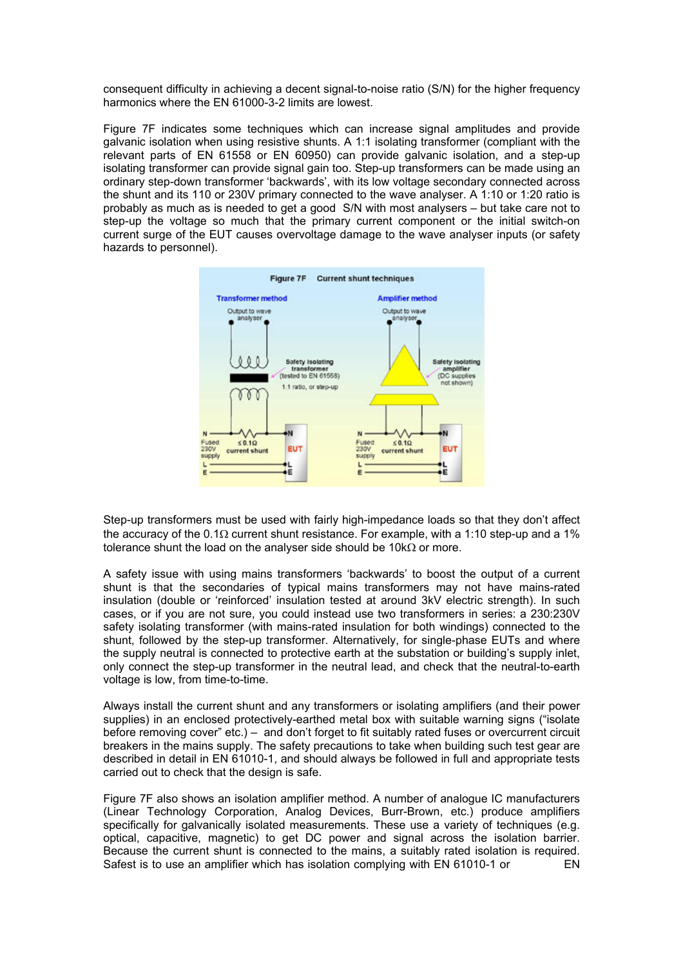consequent difficulty in achieving a decent signal-to-noise ratio (S/N) for the higher frequency harmonics where the EN 61000-3-2 limits are lowest.

Figure 7F indicates some techniques which can increase signal amplitudes and provide galvanic isolation when using resistive shunts. A 1:1 isolating transformer (compliant with the relevant parts of EN 61558 or EN 60950) can provide galvanic isolation, and a step-up isolating transformer can provide signal gain too. Step-up transformers can be made using an ordinary step-down transformer 'backwards', with its low voltage secondary connected across the shunt and its 110 or 230V primary connected to the wave analyser. A 1:10 or 1:20 ratio is probably as much as is needed to get a good S/N with most analysers – but take care not to step-up the voltage so much that the primary current component or the initial switch-on current surge of the EUT causes overvoltage damage to the wave analyser inputs (or safety hazards to personnel).



Step-up transformers must be used with fairly high-impedance loads so that they don't affect the accuracy of the 0.1Ω current shunt resistance. For example, with a 1:10 step-up and a 1% tolerance shunt the load on the analyser side should be 10kΩ or more.

A safety issue with using mains transformers 'backwards' to boost the output of a current shunt is that the secondaries of typical mains transformers may not have mains-rated insulation (double or 'reinforced' insulation tested at around 3kV electric strength). In such cases, or if you are not sure, you could instead use two transformers in series: a 230:230V safety isolating transformer (with mains-rated insulation for both windings) connected to the shunt, followed by the step-up transformer. Alternatively, for single-phase EUTs and where the supply neutral is connected to protective earth at the substation or building's supply inlet, only connect the step-up transformer in the neutral lead, and check that the neutral-to-earth voltage is low, from time-to-time.

Always install the current shunt and any transformers or isolating amplifiers (and their power supplies) in an enclosed protectively-earthed metal box with suitable warning signs ("isolate before removing cover" etc.) – and don't forget to fit suitably rated fuses or overcurrent circuit breakers in the mains supply. The safety precautions to take when building such test gear are described in detail in EN 61010-1, and should always be followed in full and appropriate tests carried out to check that the design is safe.

Figure 7F also shows an isolation amplifier method. A number of analogue IC manufacturers (Linear Technology Corporation, Analog Devices, Burr-Brown, etc.) produce amplifiers specifically for galvanically isolated measurements. These use a variety of techniques (e.g. optical, capacitive, magnetic) to get DC power and signal across the isolation barrier. Because the current shunt is connected to the mains, a suitably rated isolation is required. Safest is to use an amplifier which has isolation complying with EN 61010-1 or EN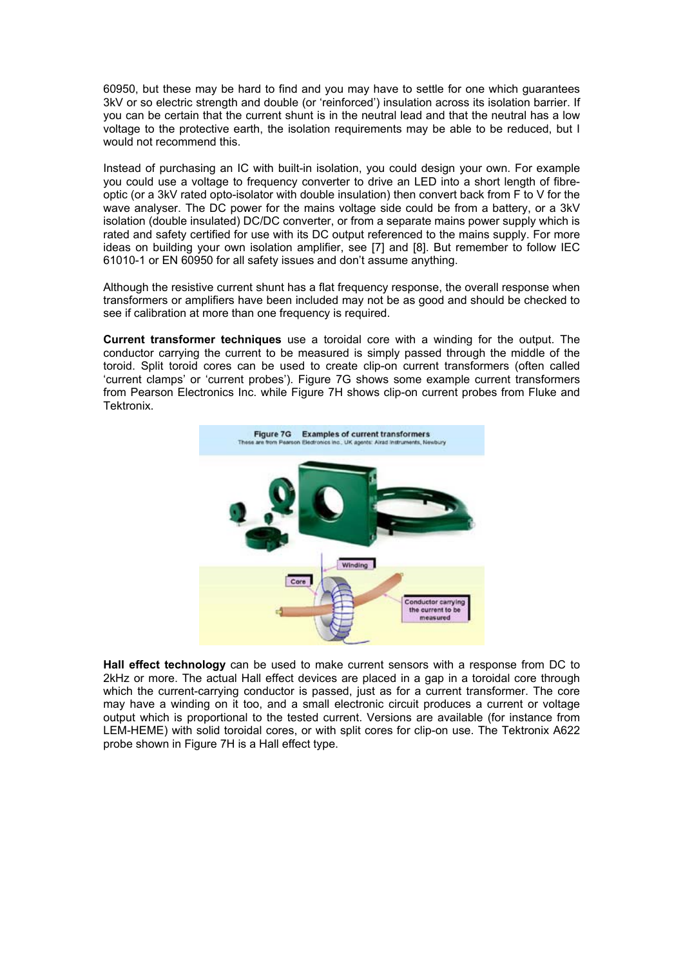60950, but these may be hard to find and you may have to settle for one which guarantees 3kV or so electric strength and double (or 'reinforced') insulation across its isolation barrier. If you can be certain that the current shunt is in the neutral lead and that the neutral has a low voltage to the protective earth, the isolation requirements may be able to be reduced, but I would not recommend this.

Instead of purchasing an IC with built-in isolation, you could design your own. For example you could use a voltage to frequency converter to drive an LED into a short length of fibreoptic (or a 3kV rated opto-isolator with double insulation) then convert back from F to V for the wave analyser. The DC power for the mains voltage side could be from a battery, or a 3kV isolation (double insulated) DC/DC converter, or from a separate mains power supply which is rated and safety certified for use with its DC output referenced to the mains supply. For more ideas on building your own isolation amplifier, see [7] and [8]. But remember to follow IEC 61010-1 or EN 60950 for all safety issues and don't assume anything.

Although the resistive current shunt has a flat frequency response, the overall response when transformers or amplifiers have been included may not be as good and should be checked to see if calibration at more than one frequency is required.

**Current transformer techniques** use a toroidal core with a winding for the output. The conductor carrying the current to be measured is simply passed through the middle of the toroid. Split toroid cores can be used to create clip-on current transformers (often called 'current clamps' or 'current probes'). Figure 7G shows some example current transformers from Pearson Electronics Inc. while Figure 7H shows clip-on current probes from Fluke and Tektronix.



**Hall effect technology** can be used to make current sensors with a response from DC to 2kHz or more. The actual Hall effect devices are placed in a gap in a toroidal core through which the current-carrying conductor is passed, just as for a current transformer. The core may have a winding on it too, and a small electronic circuit produces a current or voltage output which is proportional to the tested current. Versions are available (for instance from LEM-HEME) with solid toroidal cores, or with split cores for clip-on use. The Tektronix A622 probe shown in Figure 7H is a Hall effect type.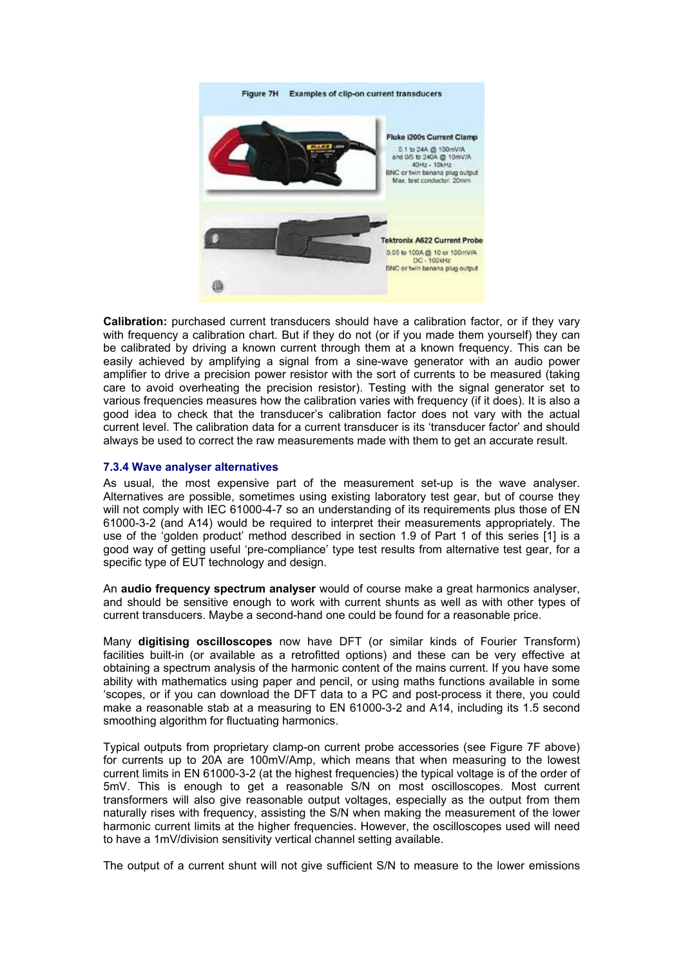

**Calibration:** purchased current transducers should have a calibration factor, or if they vary with frequency a calibration chart. But if they do not (or if you made them yourself) they can be calibrated by driving a known current through them at a known frequency. This can be easily achieved by amplifying a signal from a sine-wave generator with an audio power amplifier to drive a precision power resistor with the sort of currents to be measured (taking care to avoid overheating the precision resistor). Testing with the signal generator set to various frequencies measures how the calibration varies with frequency (if it does). It is also a good idea to check that the transducer's calibration factor does not vary with the actual current level. The calibration data for a current transducer is its 'transducer factor' and should always be used to correct the raw measurements made with them to get an accurate result.

# **7.3.4 Wave analyser alternatives**

As usual, the most expensive part of the measurement set-up is the wave analyser. Alternatives are possible, sometimes using existing laboratory test gear, but of course they will not comply with IEC 61000-4-7 so an understanding of its requirements plus those of EN 61000-3-2 (and A14) would be required to interpret their measurements appropriately. The use of the 'golden product' method described in section 1.9 of Part 1 of this series [1] is a good way of getting useful 'pre-compliance' type test results from alternative test gear, for a specific type of EUT technology and design.

An **audio frequency spectrum analyser** would of course make a great harmonics analyser, and should be sensitive enough to work with current shunts as well as with other types of current transducers. Maybe a second-hand one could be found for a reasonable price.

Many **digitising oscilloscopes** now have DFT (or similar kinds of Fourier Transform) facilities built-in (or available as a retrofitted options) and these can be very effective at obtaining a spectrum analysis of the harmonic content of the mains current. If you have some ability with mathematics using paper and pencil, or using maths functions available in some 'scopes, or if you can download the DFT data to a PC and post-process it there, you could make a reasonable stab at a measuring to EN 61000-3-2 and A14, including its 1.5 second smoothing algorithm for fluctuating harmonics.

Typical outputs from proprietary clamp-on current probe accessories (see Figure 7F above) for currents up to 20A are 100mV/Amp, which means that when measuring to the lowest current limits in EN 61000-3-2 (at the highest frequencies) the typical voltage is of the order of 5mV. This is enough to get a reasonable S/N on most oscilloscopes. Most current transformers will also give reasonable output voltages, especially as the output from them naturally rises with frequency, assisting the S/N when making the measurement of the lower harmonic current limits at the higher frequencies. However, the oscilloscopes used will need to have a 1mV/division sensitivity vertical channel setting available.

The output of a current shunt will not give sufficient S/N to measure to the lower emissions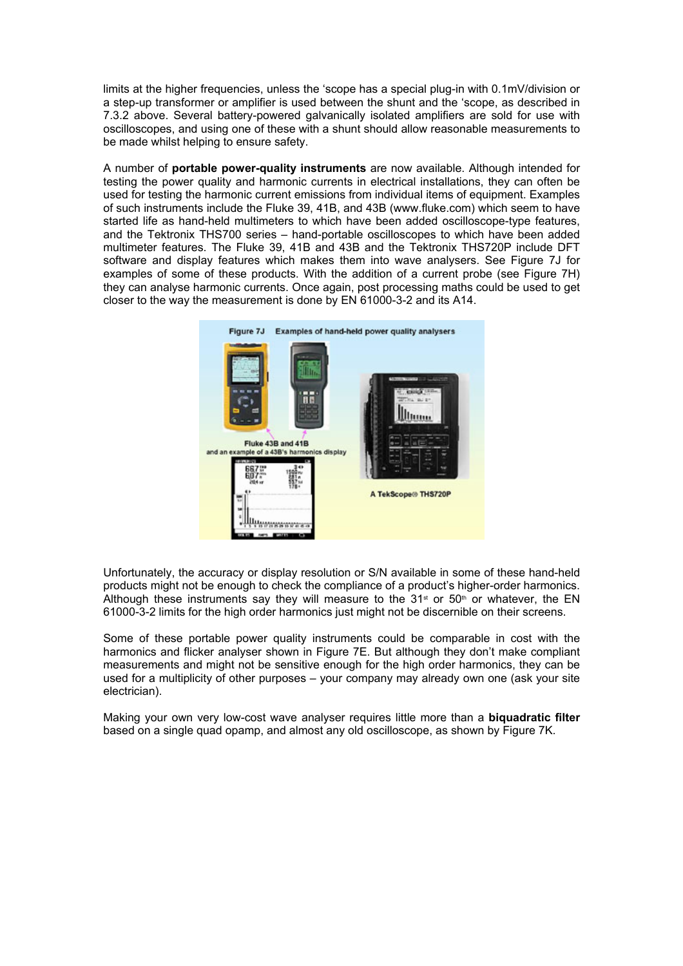limits at the higher frequencies, unless the 'scope has a special plug-in with 0.1mV/division or a step-up transformer or amplifier is used between the shunt and the 'scope, as described in 7.3.2 above. Several battery-powered galvanically isolated amplifiers are sold for use with oscilloscopes, and using one of these with a shunt should allow reasonable measurements to be made whilst helping to ensure safety.

A number of **portable power-quality instruments** are now available. Although intended for testing the power quality and harmonic currents in electrical installations, they can often be used for testing the harmonic current emissions from individual items of equipment. Examples of such instruments include the Fluke 39, 41B, and 43B (www.fluke.com) which seem to have started life as hand-held multimeters to which have been added oscilloscope-type features, and the Tektronix THS700 series – hand-portable oscilloscopes to which have been added multimeter features. The Fluke 39, 41B and 43B and the Tektronix THS720P include DFT software and display features which makes them into wave analysers. See Figure 7J for examples of some of these products. With the addition of a current probe (see Figure 7H) they can analyse harmonic currents. Once again, post processing maths could be used to get closer to the way the measurement is done by EN 61000-3-2 and its A14.



Unfortunately, the accuracy or display resolution or S/N available in some of these hand-held products might not be enough to check the compliance of a product's higher-order harmonics. Although these instruments say they will measure to the 31<sup>st</sup> or 50<sup>th</sup> or whatever, the EN 61000-3-2 limits for the high order harmonics just might not be discernible on their screens.

Some of these portable power quality instruments could be comparable in cost with the harmonics and flicker analyser shown in Figure 7E. But although they don't make compliant measurements and might not be sensitive enough for the high order harmonics, they can be used for a multiplicity of other purposes – your company may already own one (ask your site electrician).

Making your own very low-cost wave analyser requires little more than a **biquadratic filter** based on a single quad opamp, and almost any old oscilloscope, as shown by Figure 7K.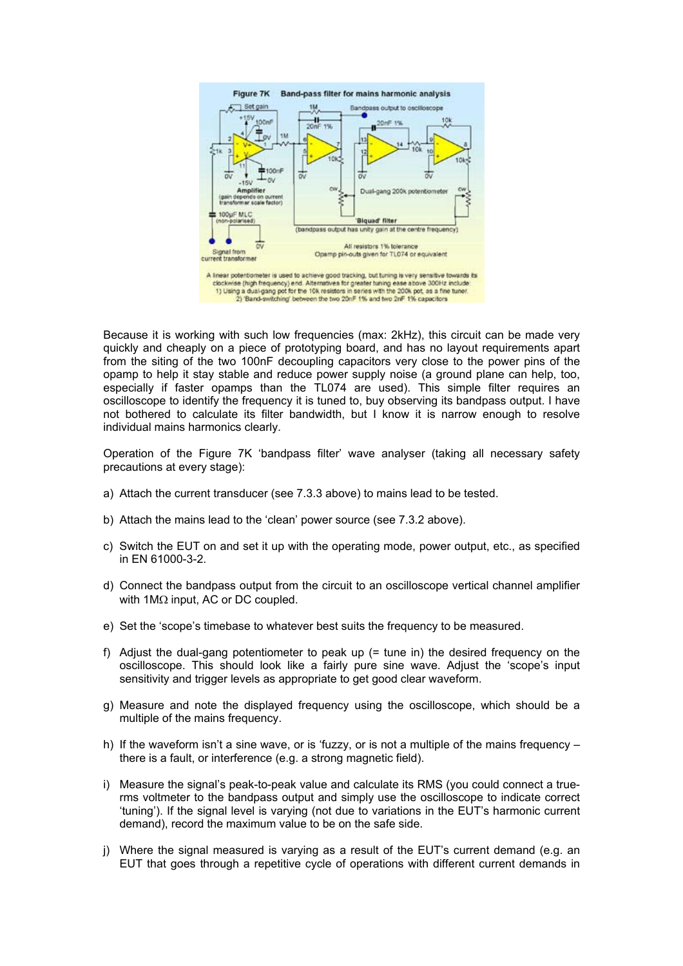

Because it is working with such low frequencies (max: 2kHz), this circuit can be made very quickly and cheaply on a piece of prototyping board, and has no layout requirements apart from the siting of the two 100nF decoupling capacitors very close to the power pins of the opamp to help it stay stable and reduce power supply noise (a ground plane can help, too, especially if faster opamps than the TL074 are used). This simple filter requires an oscilloscope to identify the frequency it is tuned to, buy observing its bandpass output. I have not bothered to calculate its filter bandwidth, but I know it is narrow enough to resolve individual mains harmonics clearly.

Operation of the Figure 7K 'bandpass filter' wave analyser (taking all necessary safety precautions at every stage):

- a) Attach the current transducer (see 7.3.3 above) to mains lead to be tested.
- b) Attach the mains lead to the 'clean' power source (see 7.3.2 above).
- c) Switch the EUT on and set it up with the operating mode, power output, etc., as specified in EN 61000-3-2.
- d) Connect the bandpass output from the circuit to an oscilloscope vertical channel amplifier with 1MΩ input, AC or DC coupled.
- e) Set the 'scope's timebase to whatever best suits the frequency to be measured.
- f) Adjust the dual-gang potentiometer to peak up (= tune in) the desired frequency on the oscilloscope. This should look like a fairly pure sine wave. Adjust the 'scope's input sensitivity and trigger levels as appropriate to get good clear waveform.
- g) Measure and note the displayed frequency using the oscilloscope, which should be a multiple of the mains frequency.
- h) If the waveform isn't a sine wave, or is 'fuzzy, or is not a multiple of the mains frequency there is a fault, or interference (e.g. a strong magnetic field).
- i) Measure the signal's peak-to-peak value and calculate its RMS (you could connect a truerms voltmeter to the bandpass output and simply use the oscilloscope to indicate correct 'tuning'). If the signal level is varying (not due to variations in the EUT's harmonic current demand), record the maximum value to be on the safe side.
- j) Where the signal measured is varying as a result of the EUT's current demand (e.g. an EUT that goes through a repetitive cycle of operations with different current demands in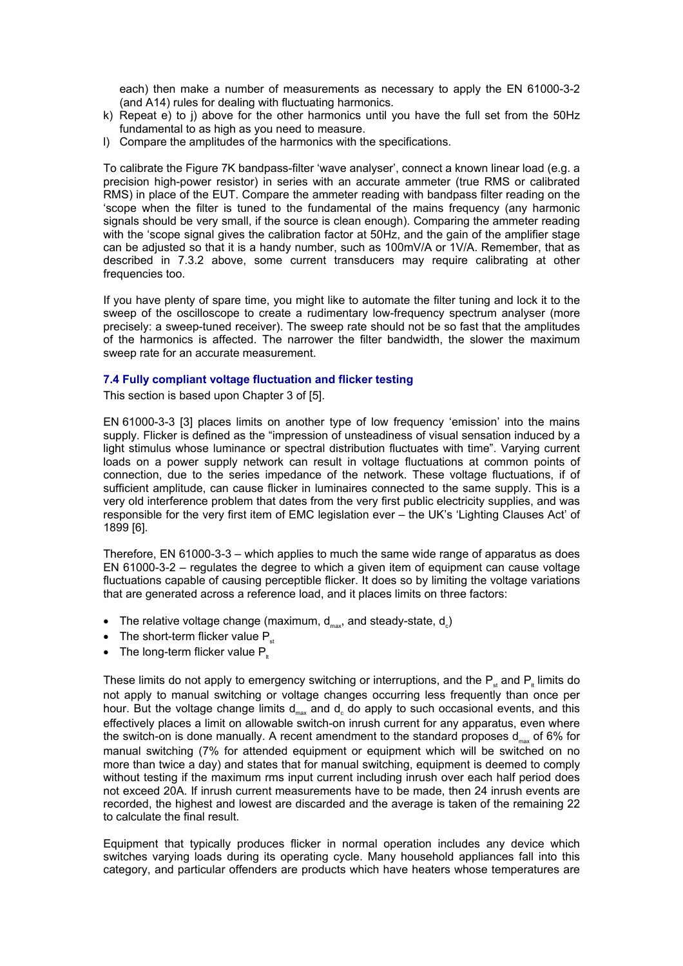each) then make a number of measurements as necessary to apply the EN 61000-3-2 (and A14) rules for dealing with fluctuating harmonics.

- k) Repeat e) to j) above for the other harmonics until you have the full set from the 50Hz fundamental to as high as you need to measure.
- l) Compare the amplitudes of the harmonics with the specifications.

To calibrate the Figure 7K bandpass-filter 'wave analyser', connect a known linear load (e.g. a precision high-power resistor) in series with an accurate ammeter (true RMS or calibrated RMS) in place of the EUT. Compare the ammeter reading with bandpass filter reading on the 'scope when the filter is tuned to the fundamental of the mains frequency (any harmonic signals should be very small, if the source is clean enough). Comparing the ammeter reading with the 'scope signal gives the calibration factor at 50Hz, and the gain of the amplifier stage can be adjusted so that it is a handy number, such as 100mV/A or 1V/A. Remember, that as described in 7.3.2 above, some current transducers may require calibrating at other frequencies too.

If you have plenty of spare time, you might like to automate the filter tuning and lock it to the sweep of the oscilloscope to create a rudimentary low-frequency spectrum analyser (more precisely: a sweep-tuned receiver). The sweep rate should not be so fast that the amplitudes of the harmonics is affected. The narrower the filter bandwidth, the slower the maximum sweep rate for an accurate measurement.

#### **7.4 Fully compliant voltage fluctuation and flicker testing**

This section is based upon Chapter 3 of [5].

EN 61000-3-3 [3] places limits on another type of low frequency 'emission' into the mains supply. Flicker is defined as the "impression of unsteadiness of visual sensation induced by a light stimulus whose luminance or spectral distribution fluctuates with time". Varying current loads on a power supply network can result in voltage fluctuations at common points of connection, due to the series impedance of the network. These voltage fluctuations, if of sufficient amplitude, can cause flicker in luminaires connected to the same supply. This is a very old interference problem that dates from the very first public electricity supplies, and was responsible for the very first item of EMC legislation ever – the UK's 'Lighting Clauses Act' of 1899 [6].

Therefore, EN 61000-3-3 – which applies to much the same wide range of apparatus as does EN 61000-3-2 – regulates the degree to which a given item of equipment can cause voltage fluctuations capable of causing perceptible flicker. It does so by limiting the voltage variations that are generated across a reference load, and it places limits on three factors:

- The relative voltage change (maximum,  $d_{\text{max}}$ , and steady-state,  $d_{\text{c}}$ )
- The short-term flicker value  $P_{st}$
- The long-term flicker value  $P_{\mu}$

These limits do not apply to emergency switching or interruptions, and the  $P_s$  and  $P_k$  limits do not apply to manual switching or voltage changes occurring less frequently than once per hour. But the voltage change limits  $d_{\text{max}}$  and  $d_{\text{c}}$  do apply to such occasional events, and this effectively places a limit on allowable switch-on inrush current for any apparatus, even where the switch-on is done manually. A recent amendment to the standard proposes  $d_{\text{max}}$  of 6% for manual switching (7% for attended equipment or equipment which will be switched on no more than twice a day) and states that for manual switching, equipment is deemed to comply without testing if the maximum rms input current including inrush over each half period does not exceed 20A. If inrush current measurements have to be made, then 24 inrush events are recorded, the highest and lowest are discarded and the average is taken of the remaining 22 to calculate the final result.

Equipment that typically produces flicker in normal operation includes any device which switches varying loads during its operating cycle. Many household appliances fall into this category, and particular offenders are products which have heaters whose temperatures are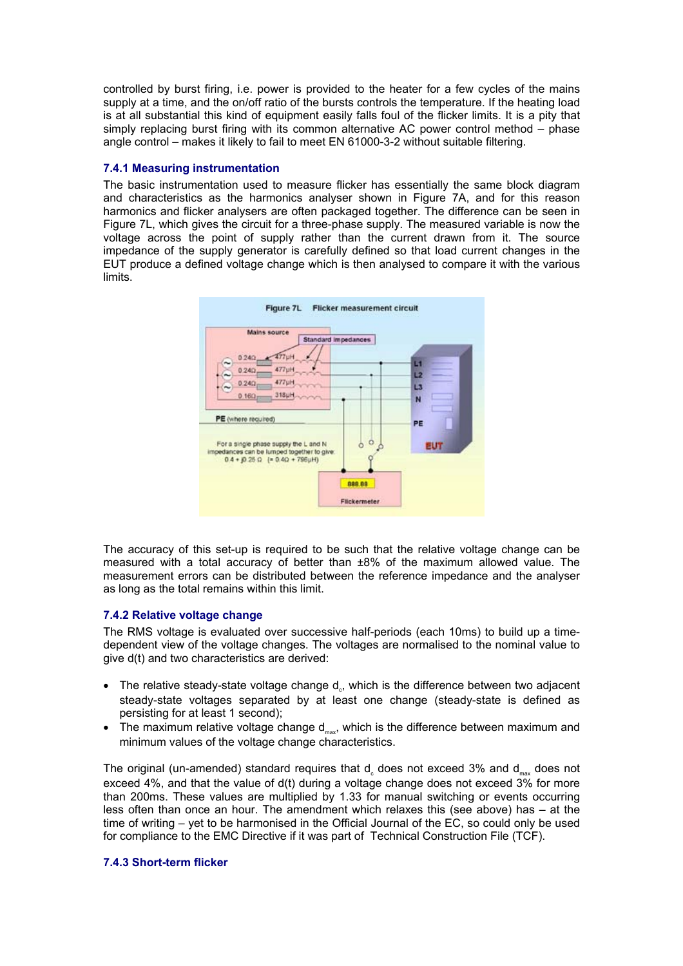controlled by burst firing, i.e. power is provided to the heater for a few cycles of the mains supply at a time, and the on/off ratio of the bursts controls the temperature. If the heating load is at all substantial this kind of equipment easily falls foul of the flicker limits. It is a pity that simply replacing burst firing with its common alternative AC power control method – phase angle control – makes it likely to fail to meet EN 61000-3-2 without suitable filtering.

# **7.4.1 Measuring instrumentation**

The basic instrumentation used to measure flicker has essentially the same block diagram and characteristics as the harmonics analyser shown in Figure 7A, and for this reason harmonics and flicker analysers are often packaged together. The difference can be seen in Figure 7L, which gives the circuit for a three-phase supply. The measured variable is now the voltage across the point of supply rather than the current drawn from it. The source impedance of the supply generator is carefully defined so that load current changes in the EUT produce a defined voltage change which is then analysed to compare it with the various limits.



The accuracy of this set-up is required to be such that the relative voltage change can be measured with a total accuracy of better than ±8% of the maximum allowed value. The measurement errors can be distributed between the reference impedance and the analyser as long as the total remains within this limit.

# **7.4.2 Relative voltage change**

The RMS voltage is evaluated over successive half-periods (each 10ms) to build up a timedependent view of the voltage changes. The voltages are normalised to the nominal value to give d(t) and two characteristics are derived:

- The relative steady-state voltage change  $d_{\circ}$ , which is the difference between two adjacent steady-state voltages separated by at least one change (steady-state is defined as persisting for at least 1 second);
- The maximum relative voltage change  $d_{max}$ , which is the difference between maximum and minimum values of the voltage change characteristics.

The original (un-amended) standard requires that  $d_c$  does not exceed 3% and  $d_{\text{max}}$  does not exceed 4%, and that the value of d(t) during a voltage change does not exceed 3% for more than 200ms. These values are multiplied by 1.33 for manual switching or events occurring less often than once an hour. The amendment which relaxes this (see above) has – at the time of writing – yet to be harmonised in the Official Journal of the EC, so could only be used for compliance to the EMC Directive if it was part of Technical Construction File (TCF).

# **7.4.3 Short-term flicker**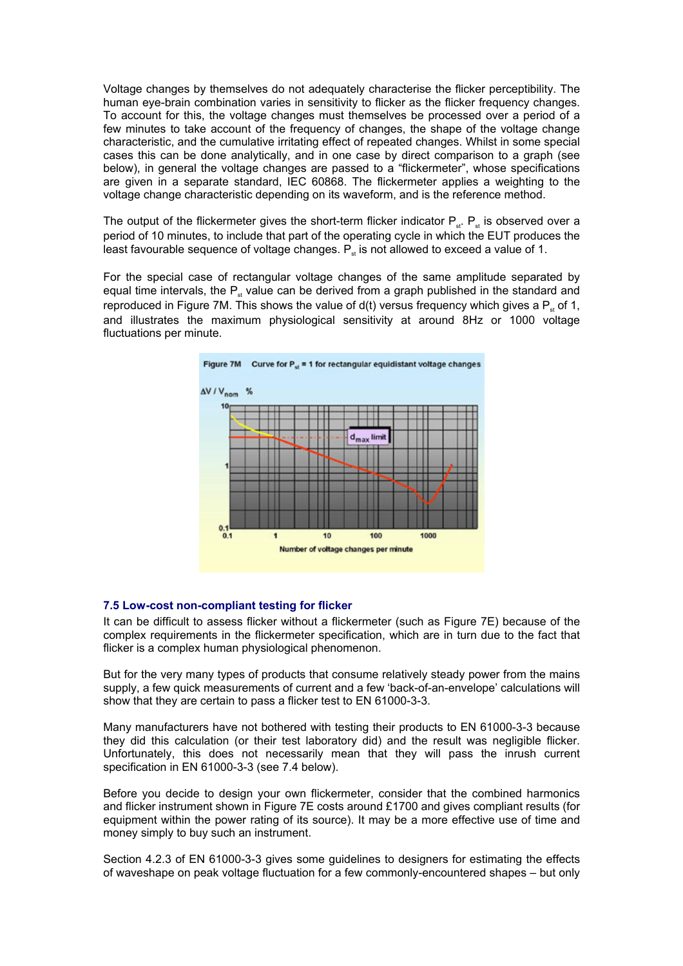Voltage changes by themselves do not adequately characterise the flicker perceptibility. The human eye-brain combination varies in sensitivity to flicker as the flicker frequency changes. To account for this, the voltage changes must themselves be processed over a period of a few minutes to take account of the frequency of changes, the shape of the voltage change characteristic, and the cumulative irritating effect of repeated changes. Whilst in some special cases this can be done analytically, and in one case by direct comparison to a graph (see below), in general the voltage changes are passed to a "flickermeter", whose specifications are given in a separate standard, IEC 60868. The flickermeter applies a weighting to the voltage change characteristic depending on its waveform, and is the reference method.

The output of the flickermeter gives the short-term flicker indicator  $P_{st}$ .  $P_{st}$  is observed over a period of 10 minutes, to include that part of the operating cycle in which the EUT produces the least favourable sequence of voltage changes.  $P_n$  is not allowed to exceed a value of 1.

For the special case of rectangular voltage changes of the same amplitude separated by equal time intervals, the  $P_{st}$  value can be derived from a graph published in the standard and reproduced in Figure 7M. This shows the value of  $d(t)$  versus frequency which gives a  $P_{st}$  of 1, and illustrates the maximum physiological sensitivity at around 8Hz or 1000 voltage fluctuations per minute.



# **7.5 Low-cost non-compliant testing for flicker**

It can be difficult to assess flicker without a flickermeter (such as Figure 7E) because of the complex requirements in the flickermeter specification, which are in turn due to the fact that flicker is a complex human physiological phenomenon.

But for the very many types of products that consume relatively steady power from the mains supply, a few quick measurements of current and a few 'back-of-an-envelope' calculations will show that they are certain to pass a flicker test to EN 61000-3-3.

Many manufacturers have not bothered with testing their products to EN 61000-3-3 because they did this calculation (or their test laboratory did) and the result was negligible flicker. Unfortunately, this does not necessarily mean that they will pass the inrush current specification in EN 61000-3-3 (see 7.4 below).

Before you decide to design your own flickermeter, consider that the combined harmonics and flicker instrument shown in Figure 7E costs around £1700 and gives compliant results (for equipment within the power rating of its source). It may be a more effective use of time and money simply to buy such an instrument.

Section 4.2.3 of EN 61000-3-3 gives some guidelines to designers for estimating the effects of waveshape on peak voltage fluctuation for a few commonly-encountered shapes – but only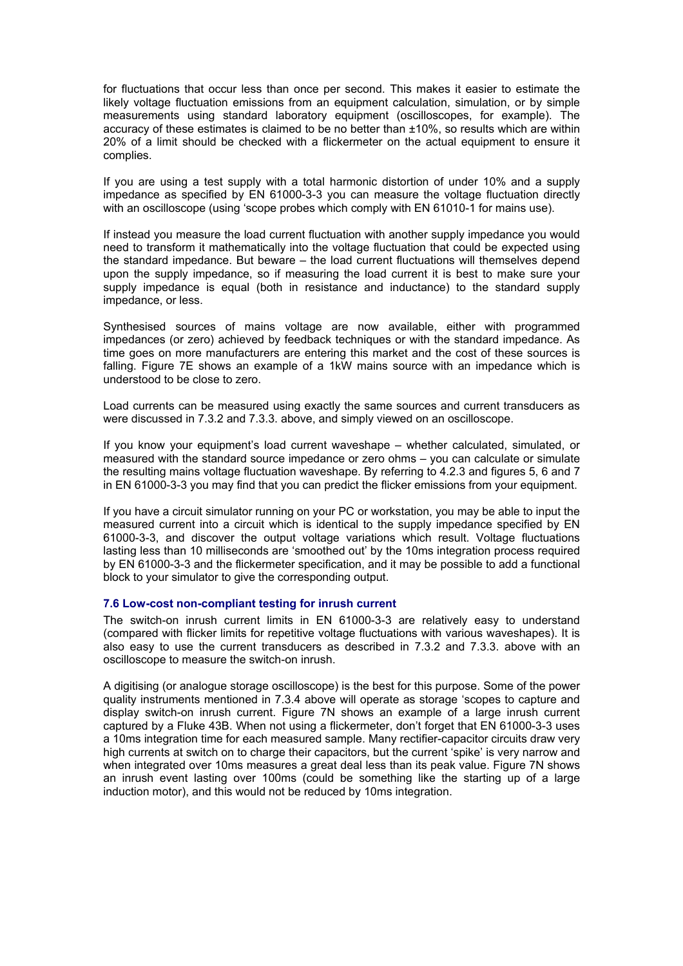for fluctuations that occur less than once per second. This makes it easier to estimate the likely voltage fluctuation emissions from an equipment calculation, simulation, or by simple measurements using standard laboratory equipment (oscilloscopes, for example). The accuracy of these estimates is claimed to be no better than ±10%, so results which are within 20% of a limit should be checked with a flickermeter on the actual equipment to ensure it complies.

If you are using a test supply with a total harmonic distortion of under 10% and a supply impedance as specified by EN 61000-3-3 you can measure the voltage fluctuation directly with an oscilloscope (using 'scope probes which comply with EN 61010-1 for mains use).

If instead you measure the load current fluctuation with another supply impedance you would need to transform it mathematically into the voltage fluctuation that could be expected using the standard impedance. But beware – the load current fluctuations will themselves depend upon the supply impedance, so if measuring the load current it is best to make sure your supply impedance is equal (both in resistance and inductance) to the standard supply impedance, or less.

Synthesised sources of mains voltage are now available, either with programmed impedances (or zero) achieved by feedback techniques or with the standard impedance. As time goes on more manufacturers are entering this market and the cost of these sources is falling. Figure 7E shows an example of a 1kW mains source with an impedance which is understood to be close to zero.

Load currents can be measured using exactly the same sources and current transducers as were discussed in 7.3.2 and 7.3.3. above, and simply viewed on an oscilloscope.

If you know your equipment's load current waveshape – whether calculated, simulated, or measured with the standard source impedance or zero ohms – you can calculate or simulate the resulting mains voltage fluctuation waveshape. By referring to 4.2.3 and figures 5, 6 and 7 in EN 61000-3-3 you may find that you can predict the flicker emissions from your equipment.

If you have a circuit simulator running on your PC or workstation, you may be able to input the measured current into a circuit which is identical to the supply impedance specified by EN 61000-3-3, and discover the output voltage variations which result. Voltage fluctuations lasting less than 10 milliseconds are 'smoothed out' by the 10ms integration process required by EN 61000-3-3 and the flickermeter specification, and it may be possible to add a functional block to your simulator to give the corresponding output.

# **7.6 Low-cost non-compliant testing for inrush current**

The switch-on inrush current limits in EN 61000-3-3 are relatively easy to understand (compared with flicker limits for repetitive voltage fluctuations with various waveshapes). It is also easy to use the current transducers as described in 7.3.2 and 7.3.3. above with an oscilloscope to measure the switch-on inrush.

A digitising (or analogue storage oscilloscope) is the best for this purpose. Some of the power quality instruments mentioned in 7.3.4 above will operate as storage 'scopes to capture and display switch-on inrush current. Figure 7N shows an example of a large inrush current captured by a Fluke 43B. When not using a flickermeter, don't forget that EN 61000-3-3 uses a 10ms integration time for each measured sample. Many rectifier-capacitor circuits draw very high currents at switch on to charge their capacitors, but the current 'spike' is very narrow and when integrated over 10ms measures a great deal less than its peak value. Figure 7N shows an inrush event lasting over 100ms (could be something like the starting up of a large induction motor), and this would not be reduced by 10ms integration.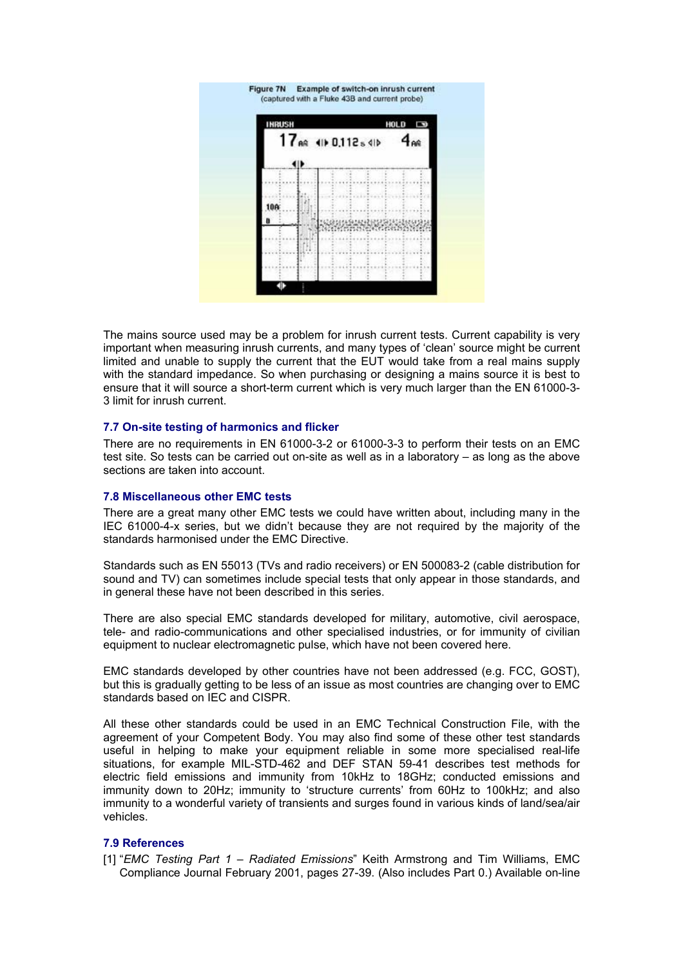

The mains source used may be a problem for inrush current tests. Current capability is very important when measuring inrush currents, and many types of 'clean' source might be current limited and unable to supply the current that the EUT would take from a real mains supply with the standard impedance. So when purchasing or designing a mains source it is best to ensure that it will source a short-term current which is very much larger than the EN 61000-3- 3 limit for inrush current.

#### **7.7 On-site testing of harmonics and flicker**

There are no requirements in EN 61000-3-2 or 61000-3-3 to perform their tests on an EMC test site. So tests can be carried out on-site as well as in a laboratory – as long as the above sections are taken into account.

# **7.8 Miscellaneous other EMC tests**

There are a great many other EMC tests we could have written about, including many in the IEC 61000-4-x series, but we didn't because they are not required by the majority of the standards harmonised under the EMC Directive.

Standards such as EN 55013 (TVs and radio receivers) or EN 500083-2 (cable distribution for sound and TV) can sometimes include special tests that only appear in those standards, and in general these have not been described in this series.

There are also special EMC standards developed for military, automotive, civil aerospace, tele- and radio-communications and other specialised industries, or for immunity of civilian equipment to nuclear electromagnetic pulse, which have not been covered here.

EMC standards developed by other countries have not been addressed (e.g. FCC, GOST), but this is gradually getting to be less of an issue as most countries are changing over to EMC standards based on IEC and CISPR.

All these other standards could be used in an EMC Technical Construction File, with the agreement of your Competent Body. You may also find some of these other test standards useful in helping to make your equipment reliable in some more specialised real-life situations, for example MIL-STD-462 and DEF STAN 59-41 describes test methods for electric field emissions and immunity from 10kHz to 18GHz; conducted emissions and immunity down to 20Hz; immunity to 'structure currents' from 60Hz to 100kHz; and also immunity to a wonderful variety of transients and surges found in various kinds of land/sea/air vehicles.

#### **7.9 References**

[1] "*EMC Testing Part 1 – Radiated Emissions*" Keith Armstrong and Tim Williams, EMC Compliance Journal February 2001, pages 27-39. (Also includes Part 0.) Available on-line